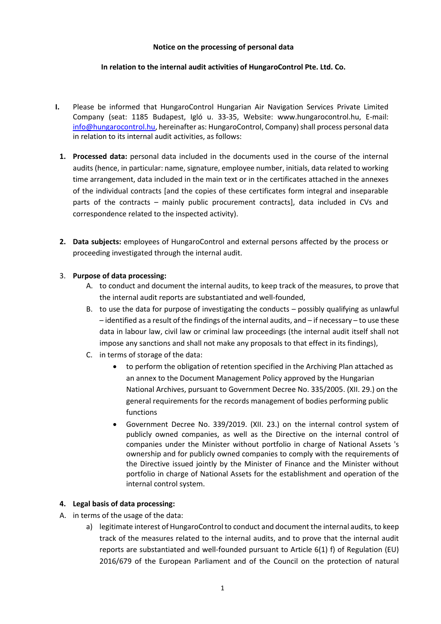### **Notice on the processing of personal data**

## **In relation to the internal audit activities of HungaroControl Pte. Ltd. Co.**

- **I.** Please be informed that HungaroControl Hungarian Air Navigation Services Private Limited Company (seat: 1185 Budapest, Igló u. 33-35, Website: www.hungarocontrol.hu, E-mail: [info@hungarocontrol.hu,](mailto:info@hungarocontrol.hu) hereinafter as: HungaroControl, Company) shall process personal data in relation to its internal audit activities, as follows:
	- **1. Processed data:** personal data included in the documents used in the course of the internal audits (hence, in particular: name, signature, employee number, initials, data related to working time arrangement, data included in the main text or in the certificates attached in the annexes of the individual contracts [and the copies of these certificates form integral and inseparable parts of the contracts – mainly public procurement contracts], data included in CVs and correspondence related to the inspected activity).
	- **2. Data subjects:** employees of HungaroControl and external persons affected by the process or proceeding investigated through the internal audit.

## 3. **Purpose of data processing:**

- A. to conduct and document the internal audits, to keep track of the measures, to prove that the internal audit reports are substantiated and well-founded,
- B. to use the data for purpose of investigating the conducts possibly qualifying as unlawful – identified as a result of the findings of the internal audits, and – if necessary – to use these data in labour law, civil law or criminal law proceedings (the internal audit itself shall not impose any sanctions and shall not make any proposals to that effect in its findings),
- C. in terms of storage of the data:
	- to perform the obligation of retention specified in the Archiving Plan attached as an annex to the Document Management Policy approved by the Hungarian National Archives, pursuant to Government Decree No. 335/2005. (XII. 29.) on the general requirements for the records management of bodies performing public functions
	- Government Decree No. 339/2019. (XII. 23.) on the internal control system of publicly owned companies, as well as the Directive on the internal control of companies under the Minister without portfolio in charge of National Assets 's ownership and for publicly owned companies to comply with the requirements of the Directive issued jointly by the Minister of Finance and the Minister without portfolio in charge of National Assets for the establishment and operation of the internal control system.

# **4. Legal basis of data processing:**

- A. in terms of the usage of the data:
	- a) legitimate interest of HungaroControl to conduct and document the internal audits, to keep track of the measures related to the internal audits, and to prove that the internal audit reports are substantiated and well-founded pursuant to Article 6(1) f) of Regulation (EU) 2016/679 of the European Parliament and of the Council on the protection of natural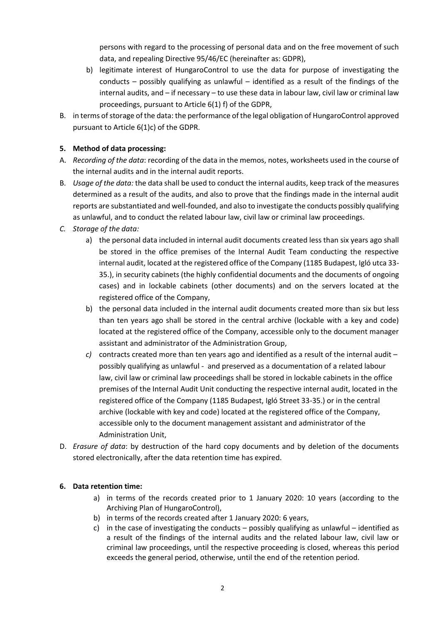persons with regard to the processing of personal data and on the free movement of such data, and repealing Directive 95/46/EC (hereinafter as: GDPR),

- b) legitimate interest of HungaroControl to use the data for purpose of investigating the conducts – possibly qualifying as unlawful – identified as a result of the findings of the internal audits, and – if necessary – to use these data in labour law, civil law or criminal law proceedings, pursuant to Article 6(1) f) of the GDPR,
- B. in terms of storage of the data: the performance of the legal obligation of HungaroControl approved pursuant to Article 6(1)c) of the GDPR.

# **5. Method of data processing:**

- A. *Recording of the data*: recording of the data in the memos, notes, worksheets used in the course of the internal audits and in the internal audit reports.
- B. *Usage of the data:* the data shall be used to conduct the internal audits, keep track of the measures determined as a result of the audits, and also to prove that the findings made in the internal audit reports are substantiated and well-founded, and also to investigate the conducts possibly qualifying as unlawful, and to conduct the related labour law, civil law or criminal law proceedings.
- *C. Storage of the data:*
	- a) the personal data included in internal audit documents created less than six years ago shall be stored in the office premises of the Internal Audit Team conducting the respective internal audit, located at the registered office of the Company (1185 Budapest, Igló utca 33- 35.), in security cabinets (the highly confidential documents and the documents of ongoing cases) and in lockable cabinets (other documents) and on the servers located at the registered office of the Company,
	- b) the personal data included in the internal audit documents created more than six but less than ten years ago shall be stored in the central archive (lockable with a key and code) located at the registered office of the Company, accessible only to the document manager assistant and administrator of the Administration Group,
	- *c)* contracts created more than ten years ago and identified as a result of the internal audit possibly qualifying as unlawful - and preserved as a documentation of a related labour law, civil law or criminal law proceedings shall be stored in lockable cabinets in the office premises of the Internal Audit Unit conducting the respective internal audit, located in the registered office of the Company (1185 Budapest, Igló Street 33-35.) or in the central archive (lockable with key and code) located at the registered office of the Company, accessible only to the document management assistant and administrator of the Administration Unit,
- D. *Erasure of data*: by destruction of the hard copy documents and by deletion of the documents stored electronically, after the data retention time has expired.

# **6. Data retention time:**

- a) in terms of the records created prior to 1 January 2020: 10 years (according to the Archiving Plan of HungaroControl),
- b) in terms of the records created after 1 January 2020: 6 years,
- c) in the case of investigating the conducts possibly qualifying as unlawful identified as a result of the findings of the internal audits and the related labour law, civil law or criminal law proceedings, until the respective proceeding is closed, whereas this period exceeds the general period, otherwise, until the end of the retention period.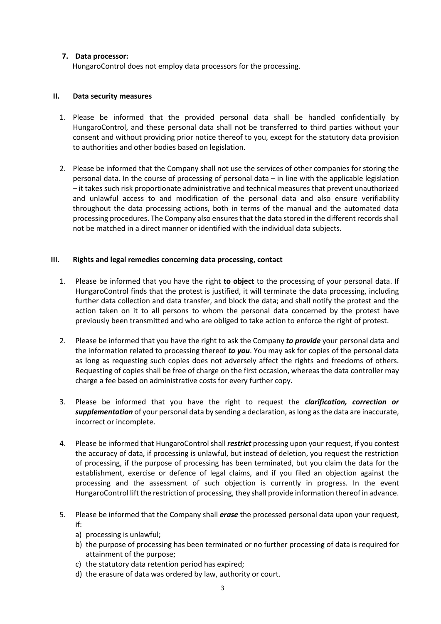## **7. Data processor:**

HungaroControl does not employ data processors for the processing.

### **II. Data security measures**

- 1. Please be informed that the provided personal data shall be handled confidentially by HungaroControl, and these personal data shall not be transferred to third parties without your consent and without providing prior notice thereof to you, except for the statutory data provision to authorities and other bodies based on legislation.
- 2. Please be informed that the Company shall not use the services of other companies for storing the personal data. In the course of processing of personal data – in line with the applicable legislation – it takes such risk proportionate administrative and technical measures that prevent unauthorized and unlawful access to and modification of the personal data and also ensure verifiability throughout the data processing actions, both in terms of the manual and the automated data processing procedures. The Company also ensures that the data stored in the different records shall not be matched in a direct manner or identified with the individual data subjects.

## **III. Rights and legal remedies concerning data processing, contact**

- 1. Please be informed that you have the right **to object** to the processing of your personal data. If HungaroControl finds that the protest is justified, it will terminate the data processing, including further data collection and data transfer, and block the data; and shall notify the protest and the action taken on it to all persons to whom the personal data concerned by the protest have previously been transmitted and who are obliged to take action to enforce the right of protest.
- 2. Please be informed that you have the right to ask the Company *to provide* your personal data and the information related to processing thereof *to you*. You may ask for copies of the personal data as long as requesting such copies does not adversely affect the rights and freedoms of others. Requesting of copies shall be free of charge on the first occasion, whereas the data controller may charge a fee based on administrative costs for every further copy.
- 3. Please be informed that you have the right to request the *clarification, correction or supplementation* of your personal data by sending a declaration, as long as the data are inaccurate, incorrect or incomplete.
- 4. Please be informed that HungaroControlshall *restrict* processing upon your request, if you contest the accuracy of data, if processing is unlawful, but instead of deletion, you request the restriction of processing, if the purpose of processing has been terminated, but you claim the data for the establishment, exercise or defence of legal claims, and if you filed an objection against the processing and the assessment of such objection is currently in progress. In the event HungaroControl lift the restriction of processing, they shall provide information thereof in advance.
- 5. Please be informed that the Company shall *erase* the processed personal data upon your request, if:
	- a) processing is unlawful;
	- b) the purpose of processing has been terminated or no further processing of data is required for attainment of the purpose;
	- c) the statutory data retention period has expired;
	- d) the erasure of data was ordered by law, authority or court.